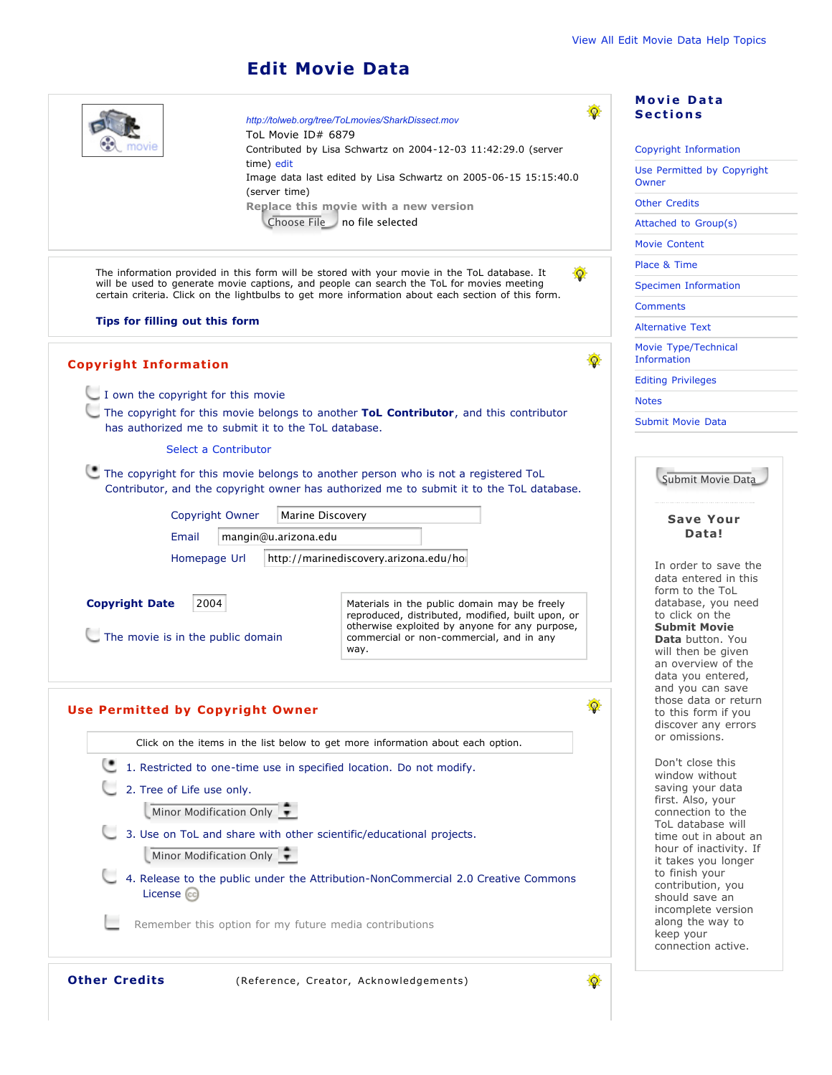## **Edit Movie Data**

|                                                                                                                                                                                                                                                                                                 |                                                                                | http://tolweb.org/tree/ToLmovies/SharkDissect.mov                                                                                                                                                                                                |   | <b>Movie Data</b><br><b>Sections</b>                                                                                                                                                                                        |
|-------------------------------------------------------------------------------------------------------------------------------------------------------------------------------------------------------------------------------------------------------------------------------------------------|--------------------------------------------------------------------------------|--------------------------------------------------------------------------------------------------------------------------------------------------------------------------------------------------------------------------------------------------|---|-----------------------------------------------------------------------------------------------------------------------------------------------------------------------------------------------------------------------------|
|                                                                                                                                                                                                                                                                                                 | ToL Movie ID# 6879                                                             | Contributed by Lisa Schwartz on 2004-12-03 11:42:29.0 (server                                                                                                                                                                                    |   | Copyright Information                                                                                                                                                                                                       |
|                                                                                                                                                                                                                                                                                                 | time) edit<br>Image data last edited by Lisa Schwartz on 2005-06-15 15:15:40.0 |                                                                                                                                                                                                                                                  |   | Use Permitted by Copyright<br>Owner                                                                                                                                                                                         |
| (server time)<br>Replace this movie with a new version                                                                                                                                                                                                                                          |                                                                                |                                                                                                                                                                                                                                                  |   | <b>Other Credits</b>                                                                                                                                                                                                        |
|                                                                                                                                                                                                                                                                                                 |                                                                                | Choose File no file selected                                                                                                                                                                                                                     |   | Attached to Group(s)                                                                                                                                                                                                        |
|                                                                                                                                                                                                                                                                                                 |                                                                                |                                                                                                                                                                                                                                                  |   | Movie Content                                                                                                                                                                                                               |
|                                                                                                                                                                                                                                                                                                 |                                                                                |                                                                                                                                                                                                                                                  |   | Place & Time                                                                                                                                                                                                                |
| The information provided in this form will be stored with your movie in the ToL database. It<br>will be used to generate movie captions, and people can search the ToL for movies meeting<br>certain criteria. Click on the lightbulbs to get more information about each section of this form. |                                                                                |                                                                                                                                                                                                                                                  |   | <b>Specimen Information</b>                                                                                                                                                                                                 |
|                                                                                                                                                                                                                                                                                                 |                                                                                |                                                                                                                                                                                                                                                  |   | <b>Comments</b>                                                                                                                                                                                                             |
| Tips for filling out this form                                                                                                                                                                                                                                                                  |                                                                                |                                                                                                                                                                                                                                                  |   | <b>Alternative Text</b>                                                                                                                                                                                                     |
| <b>Copyright Information</b>                                                                                                                                                                                                                                                                    |                                                                                |                                                                                                                                                                                                                                                  | 優 | Movie Type/Technical<br><b>Information</b>                                                                                                                                                                                  |
|                                                                                                                                                                                                                                                                                                 |                                                                                | <b>Editing Privileges</b>                                                                                                                                                                                                                        |   |                                                                                                                                                                                                                             |
| I own the copyright for this movie                                                                                                                                                                                                                                                              |                                                                                |                                                                                                                                                                                                                                                  |   | <b>Notes</b>                                                                                                                                                                                                                |
| The copyright for this movie belongs to another ToL Contributor, and this contributor<br>has authorized me to submit it to the ToL database.                                                                                                                                                    |                                                                                |                                                                                                                                                                                                                                                  |   | <b>Submit Movie Data</b>                                                                                                                                                                                                    |
| Select a Contributor                                                                                                                                                                                                                                                                            |                                                                                |                                                                                                                                                                                                                                                  |   |                                                                                                                                                                                                                             |
|                                                                                                                                                                                                                                                                                                 |                                                                                | The copyright for this movie belongs to another person who is not a registered ToL<br>Contributor, and the copyright owner has authorized me to submit it to the ToL database.                                                                   |   | Submit Movie Data                                                                                                                                                                                                           |
|                                                                                                                                                                                                                                                                                                 | Copyright Owner<br>Marine Discovery<br>mangin@u.arizona.edu<br>Email           |                                                                                                                                                                                                                                                  |   | <b>Save Your</b>                                                                                                                                                                                                            |
|                                                                                                                                                                                                                                                                                                 |                                                                                |                                                                                                                                                                                                                                                  |   | Data!                                                                                                                                                                                                                       |
| Homepage Url<br><b>Copyright Date</b><br>2004<br>The movie is in the public domain                                                                                                                                                                                                              |                                                                                | http://marinediscovery.arizona.edu/ho<br>Materials in the public domain may be freely<br>reproduced, distributed, modified, built upon, or<br>otherwise exploited by anyone for any purpose,<br>commercial or non-commercial, and in any<br>way. |   | In order to save the<br>data entered in this<br>form to the ToL<br>database, you need<br>to click on the<br><b>Submit Movie</b><br><b>Data</b> button. You<br>will then be given<br>an overview of the<br>data you entered, |
|                                                                                                                                                                                                                                                                                                 |                                                                                |                                                                                                                                                                                                                                                  |   | and you can save<br>those data or return                                                                                                                                                                                    |
| 蠍<br><b>Use Permitted by Copyright Owner</b>                                                                                                                                                                                                                                                    |                                                                                |                                                                                                                                                                                                                                                  |   | to this form if you                                                                                                                                                                                                         |
| Click on the items in the list below to get more information about each option.                                                                                                                                                                                                                 |                                                                                |                                                                                                                                                                                                                                                  |   | discover any errors<br>or omissions.                                                                                                                                                                                        |
|                                                                                                                                                                                                                                                                                                 |                                                                                | 1. Restricted to one-time use in specified location. Do not modify.                                                                                                                                                                              |   | Don't close this                                                                                                                                                                                                            |
| 2. Tree of Life use only.                                                                                                                                                                                                                                                                       |                                                                                |                                                                                                                                                                                                                                                  |   | window without<br>saving your data                                                                                                                                                                                          |
| Minor Modification Only                                                                                                                                                                                                                                                                         |                                                                                |                                                                                                                                                                                                                                                  |   | first. Also, your<br>connection to the                                                                                                                                                                                      |
|                                                                                                                                                                                                                                                                                                 |                                                                                | 3. Use on ToL and share with other scientific/educational projects.                                                                                                                                                                              |   | ToL database will                                                                                                                                                                                                           |
| Minor Modification Only                                                                                                                                                                                                                                                                         |                                                                                |                                                                                                                                                                                                                                                  |   | time out in about an<br>hour of inactivity. If<br>it takes you longer                                                                                                                                                       |
| License (cc)                                                                                                                                                                                                                                                                                    |                                                                                | 4. Release to the public under the Attribution-NonCommercial 2.0 Creative Commons                                                                                                                                                                |   | to finish your<br>contribution, you<br>should save an<br>incomplete version                                                                                                                                                 |
|                                                                                                                                                                                                                                                                                                 |                                                                                | Remember this option for my future media contributions                                                                                                                                                                                           |   | along the way to<br>keep your<br>connection active.                                                                                                                                                                         |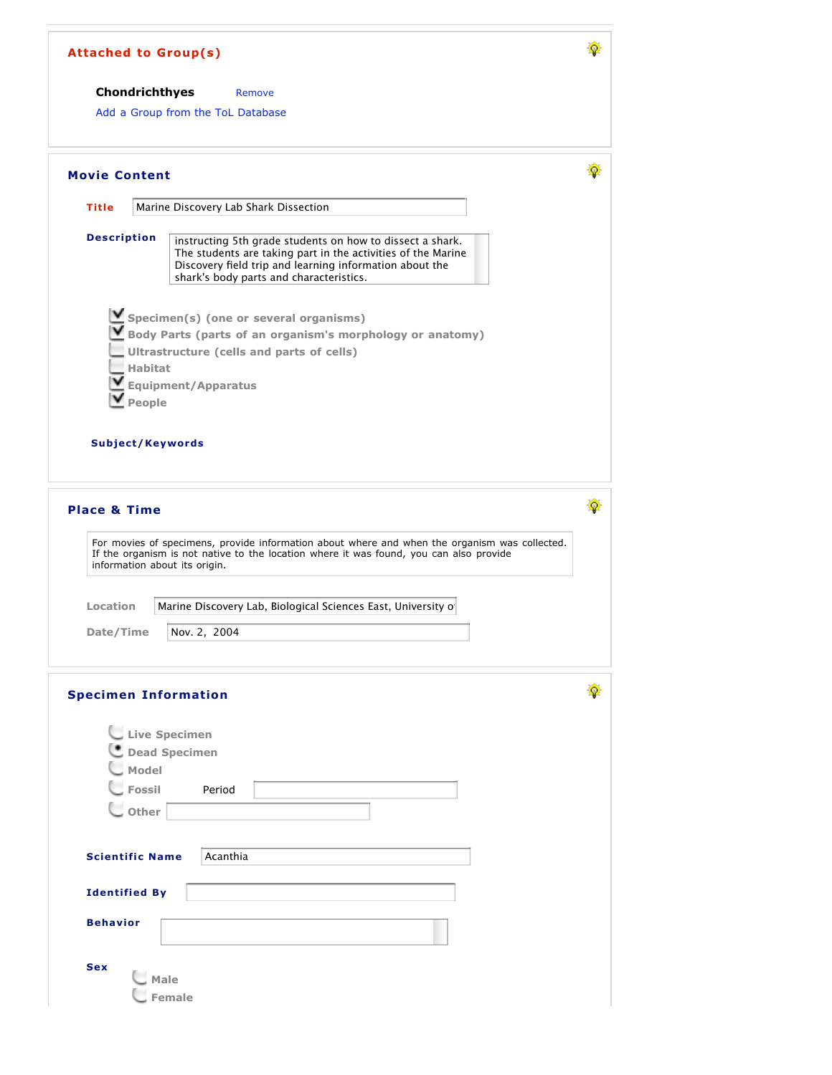| Chondrichthyes                | Remove                                                                                                                                                                                                                          |  |
|-------------------------------|---------------------------------------------------------------------------------------------------------------------------------------------------------------------------------------------------------------------------------|--|
|                               | Add a Group from the ToL Database                                                                                                                                                                                               |  |
| <b>Movie Content</b>          |                                                                                                                                                                                                                                 |  |
| <b>Title</b>                  | Marine Discovery Lab Shark Dissection                                                                                                                                                                                           |  |
| <b>Description</b>            | instructing 5th grade students on how to dissect a shark.<br>The students are taking part in the activities of the Marine<br>Discovery field trip and learning information about the<br>shark's body parts and characteristics. |  |
|                               | $\blacksquare$ Specimen(s) (one or several organisms)                                                                                                                                                                           |  |
|                               | Body Parts (parts of an organism's morphology or anatomy)                                                                                                                                                                       |  |
|                               | Ultrastructure (cells and parts of cells)                                                                                                                                                                                       |  |
| <b>Habitat</b>                |                                                                                                                                                                                                                                 |  |
|                               | <b>Equipment/Apparatus</b>                                                                                                                                                                                                      |  |
| People                        |                                                                                                                                                                                                                                 |  |
|                               |                                                                                                                                                                                                                                 |  |
| Subject/Keywords              |                                                                                                                                                                                                                                 |  |
|                               |                                                                                                                                                                                                                                 |  |
|                               |                                                                                                                                                                                                                                 |  |
|                               |                                                                                                                                                                                                                                 |  |
|                               |                                                                                                                                                                                                                                 |  |
| <b>Place &amp; Time</b>       |                                                                                                                                                                                                                                 |  |
|                               |                                                                                                                                                                                                                                 |  |
|                               | For movies of specimens, provide information about where and when the organism was collected.<br>If the organism is not native to the location where it was found, you can also provide                                         |  |
| information about its origin. |                                                                                                                                                                                                                                 |  |
|                               |                                                                                                                                                                                                                                 |  |
| <b>Location</b>               | Marine Discovery Lab, Biological Sciences East, University of                                                                                                                                                                   |  |
|                               |                                                                                                                                                                                                                                 |  |
| Date/Time                     | Nov. 2, 2004                                                                                                                                                                                                                    |  |
|                               |                                                                                                                                                                                                                                 |  |
| <b>Specimen Information</b>   |                                                                                                                                                                                                                                 |  |
|                               |                                                                                                                                                                                                                                 |  |
| Live Specimen                 |                                                                                                                                                                                                                                 |  |
|                               | Dead Specimen                                                                                                                                                                                                                   |  |
| _ Model                       |                                                                                                                                                                                                                                 |  |
| <b>L</b> Fossil               | Period                                                                                                                                                                                                                          |  |
| $\bigcup$ Other               |                                                                                                                                                                                                                                 |  |
|                               |                                                                                                                                                                                                                                 |  |
| <b>Scientific Name</b>        | Acanthia                                                                                                                                                                                                                        |  |
|                               |                                                                                                                                                                                                                                 |  |
| <b>Identified By</b>          |                                                                                                                                                                                                                                 |  |
| <b>Behavior</b>               |                                                                                                                                                                                                                                 |  |
|                               |                                                                                                                                                                                                                                 |  |
| <b>Sex</b>                    |                                                                                                                                                                                                                                 |  |